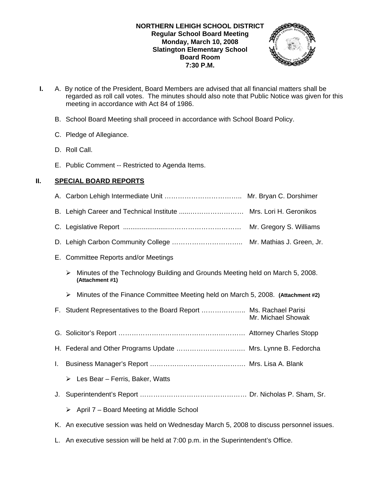

- **I.** A. By notice of the President, Board Members are advised that all financial matters shall be regarded as roll call votes. The minutes should also note that Public Notice was given for this meeting in accordance with Act 84 of 1986.
	- B. School Board Meeting shall proceed in accordance with School Board Policy.
	- C. Pledge of Allegiance.
	- D. Roll Call.
	- E. Public Comment -- Restricted to Agenda Items.

# **II. SPECIAL BOARD REPORTS**

|    | Mrs. Lori H. Geronikos                                                                                |  |
|----|-------------------------------------------------------------------------------------------------------|--|
|    | Mr. Gregory S. Williams                                                                               |  |
|    |                                                                                                       |  |
|    | E. Committee Reports and/or Meetings                                                                  |  |
|    | Minutes of the Technology Building and Grounds Meeting held on March 5, 2008.<br>➤<br>(Attachment #1) |  |
|    | Minutes of the Finance Committee Meeting held on March 5, 2008. (Attachment #2)<br>➤                  |  |
|    | F. Student Representatives to the Board Report  Ms. Rachael Parisi<br>Mr. Michael Showak              |  |
|    |                                                                                                       |  |
|    | H. Federal and Other Programs Update  Mrs. Lynne B. Fedorcha                                          |  |
| I. |                                                                                                       |  |
|    | Les Bear - Ferris, Baker, Watts<br>➤                                                                  |  |
| J. |                                                                                                       |  |
|    | April 7 - Board Meeting at Middle School<br>➤                                                         |  |
|    | K. An executive session was held on Wednesday March 5, 2008 to discuss personnel issues.              |  |

L. An executive session will be held at 7:00 p.m. in the Superintendent's Office.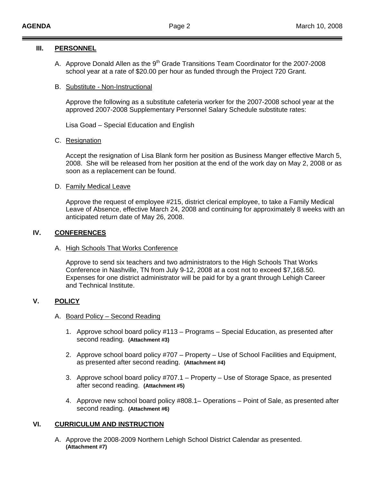#### **III. PERSONNEL**

A. Approve Donald Allen as the 9<sup>th</sup> Grade Transitions Team Coordinator for the 2007-2008 school year at a rate of \$20.00 per hour as funded through the Project 720 Grant.

### B. Substitute - Non-Instructional

Approve the following as a substitute cafeteria worker for the 2007-2008 school year at the approved 2007-2008 Supplementary Personnel Salary Schedule substitute rates:

Lisa Goad – Special Education and English

### C. Resignation

 Accept the resignation of Lisa Blank form her position as Business Manger effective March 5, 2008. She will be released from her position at the end of the work day on May 2, 2008 or as soon as a replacement can be found.

### D. Family Medical Leave

Approve the request of employee #215, district clerical employee, to take a Family Medical Leave of Absence, effective March 24, 2008 and continuing for approximately 8 weeks with an anticipated return date of May 26, 2008.

## **IV. CONFERENCES**

#### A. High Schools That Works Conference

 Approve to send six teachers and two administrators to the High Schools That Works Conference in Nashville, TN from July 9-12, 2008 at a cost not to exceed \$7,168.50. Expenses for one district administrator will be paid for by a grant through Lehigh Career and Technical Institute.

## **V. POLICY**

#### A. Board Policy – Second Reading

- 1. Approve school board policy #113 Programs Special Education, as presented after second reading. **(Attachment #3)**
- 2. Approve school board policy #707 Property Use of School Facilities and Equipment, as presented after second reading. **(Attachment #4)**
- 3. Approve school board policy #707.1 Property Use of Storage Space, as presented after second reading. **(Attachment #5)**
- 4. Approve new school board policy #808.1– Operations Point of Sale, as presented after second reading. **(Attachment #6)**

## **VI. CURRICULUM AND INSTRUCTION**

A. Approve the 2008-2009 Northern Lehigh School District Calendar as presented. **(Attachment #7)**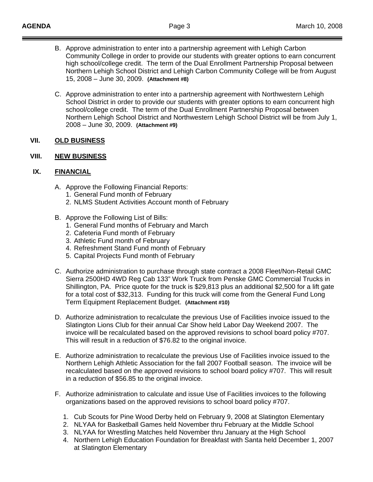- B. Approve administration to enter into a partnership agreement with Lehigh Carbon Community College in order to provide our students with greater options to earn concurrent high school/college credit. The term of the Dual Enrollment Partnership Proposal between Northern Lehigh School District and Lehigh Carbon Community College will be from August 15, 2008 – June 30, 2009. **(Attachment #8)**
- C. Approve administration to enter into a partnership agreement with Northwestern Lehigh School District in order to provide our students with greater options to earn concurrent high school/college credit. The term of the Dual Enrollment Partnership Proposal between Northern Lehigh School District and Northwestern Lehigh School District will be from July 1, 2008 – June 30, 2009. **(Attachment #9)**

### **VII. OLD BUSINESS**

### **VIII. NEW BUSINESS**

## **IX. FINANCIAL**

- A. Approve the Following Financial Reports:
	- 1. General Fund month of February
	- 2. NLMS Student Activities Account month of February
- B. Approve the Following List of Bills:
	- 1. General Fund months of February and March
	- 2. Cafeteria Fund month of February
	- 3. Athletic Fund month of February
	- 4. Refreshment Stand Fund month of February
	- 5. Capital Projects Fund month of February
- C. Authorize administration to purchase through state contract a 2008 Fleet/Non-Retail GMC Sierra 2500HD 4WD Reg Cab 133" Work Truck from Penske GMC Commercial Trucks in Shillington, PA. Price quote for the truck is \$29,813 plus an additional \$2,500 for a lift gate for a total cost of \$32,313. Funding for this truck will come from the General Fund Long Term Equipment Replacement Budget. **(Attachment #10)**
- D. Authorize administration to recalculate the previous Use of Facilities invoice issued to the Slatington Lions Club for their annual Car Show held Labor Day Weekend 2007. The invoice will be recalculated based on the approved revisions to school board policy #707. This will result in a reduction of \$76.82 to the original invoice.
- E. Authorize administration to recalculate the previous Use of Facilities invoice issued to the Northern Lehigh Athletic Association for the fall 2007 Football season. The invoice will be recalculated based on the approved revisions to school board policy #707. This will result in a reduction of \$56.85 to the original invoice.
- F. Authorize administration to calculate and issue Use of Facilities invoices to the following organizations based on the approved revisions to school board policy #707.
	- 1. Cub Scouts for Pine Wood Derby held on February 9, 2008 at Slatington Elementary
	- 2. NLYAA for Basketball Games held November thru February at the Middle School
	- 3. NLYAA for Wrestling Matches held November thru January at the High School
	- 4. Northern Lehigh Education Foundation for Breakfast with Santa held December 1, 2007 at Slatington Elementary